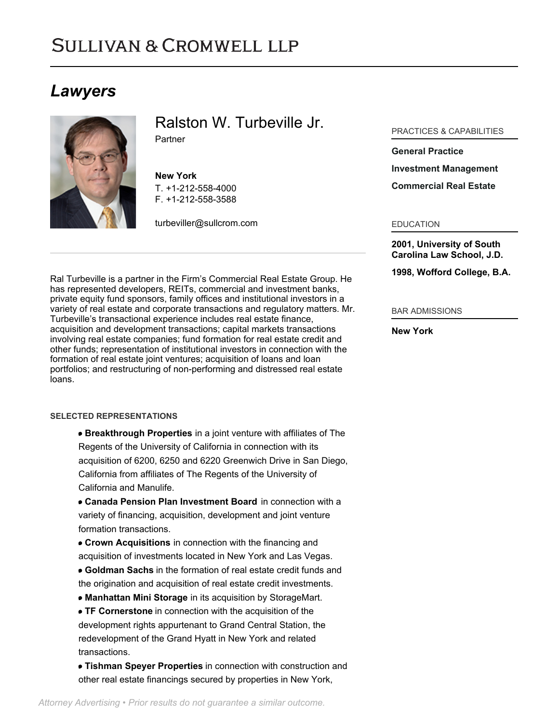# **SULLIVAN & CROMWELL LLP**

# *Lawyers*



Ralston W. Turbeville Jr.

Partner

**New York** T. [+1-212-558-4000](tel:+1-212-558-4000) F. [+1-212-558-3588](tel:+1-212-558-3588)

[turbeviller@sullcrom.com](https://www.sullcrom.com/email-disclaimer?profsid=lawyers/RalstonW-TurbevilleJr)

Ral Turbeville is a partner in the Firm's Commercial Real Estate Group. He has represented developers, REITs, commercial and investment banks, private equity fund sponsors, family offices and institutional investors in a variety of real estate and corporate transactions and regulatory matters. Mr. Turbeville's transactional experience includes real estate finance, acquisition and development transactions; capital markets transactions involving real estate companies; fund formation for real estate credit and other funds; representation of institutional investors in connection with the formation of real estate joint ventures; acquisition of loans and loan portfolios; and restructuring of non-performing and distressed real estate loans.

### **SELECTED REPRESENTATIONS**

- **Breakthrough Properties** in a joint venture with affiliates of The Regents of the University of California in connection with its acquisition of 6200, 6250 and 6220 Greenwich Drive in San Diego, California from affiliates of The Regents of the University of California and Manulife.
- **Canada Pension Plan Investment Board** in connection with a variety of financing, acquisition, development and joint venture formation transactions.
- **Crown Acquisitions** in connection with the financing and acquisition of investments located in New York and Las Vegas. **Goldman Sachs** in the formation of real estate credit funds and
- the origination and acquisition of real estate credit investments.
- **Manhattan Mini Storage** in its acquisition by StorageMart.
- **TF Cornerstone** in connection with the acquisition of the development rights appurtenant to Grand Central Station, the redevelopment of the Grand Hyatt in New York and related transactions.
- **Tishman Speyer Properties** in connection with construction and other real estate financings secured by properties in New York,

# PRACTICES & CAPABILITIES

#### **[General Practice](https://www.sullcrom.com/general-practice)**

#### **[Investment Management](https://www.sullcrom.com/Investment-Management-Practices)**

# **[Commercial Real Estate](https://www.sullcrom.com/Commercial-Real-Estate)**

#### EDUCATION

**2001, University of South Carolina Law School, J.D.** 

#### **1998, Wofford College, B.A.**

### BAR ADMISSIONS

# **New York**